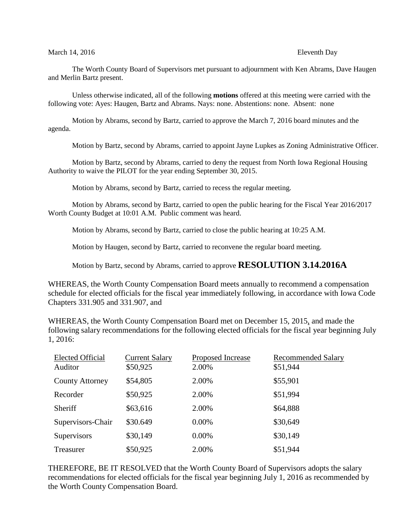#### March 14, 2016 **Eleventh** Day

The Worth County Board of Supervisors met pursuant to adjournment with Ken Abrams, Dave Haugen and Merlin Bartz present.

Unless otherwise indicated, all of the following **motions** offered at this meeting were carried with the following vote: Ayes: Haugen, Bartz and Abrams. Nays: none. Abstentions: none. Absent: none

Motion by Abrams, second by Bartz, carried to approve the March 7, 2016 board minutes and the agenda.

Motion by Bartz, second by Abrams, carried to appoint Jayne Lupkes as Zoning Administrative Officer.

Motion by Bartz, second by Abrams, carried to deny the request from North Iowa Regional Housing Authority to waive the PILOT for the year ending September 30, 2015.

Motion by Abrams, second by Bartz, carried to recess the regular meeting.

Motion by Abrams, second by Bartz, carried to open the public hearing for the Fiscal Year 2016/2017 Worth County Budget at 10:01 A.M. Public comment was heard.

Motion by Abrams, second by Bartz, carried to close the public hearing at 10:25 A.M.

Motion by Haugen, second by Bartz, carried to reconvene the regular board meeting.

Motion by Bartz, second by Abrams, carried to approve **RESOLUTION 3.14.2016A**

WHEREAS, the Worth County Compensation Board meets annually to recommend a compensation schedule for elected officials for the fiscal year immediately following, in accordance with Iowa Code Chapters 331.905 and 331.907, and

WHEREAS, the Worth County Compensation Board met on December 15, 2015, and made the following salary recommendations for the following elected officials for the fiscal year beginning July 1, 2016:

| <b>Elected Official</b><br>Auditor | <b>Current Salary</b><br>\$50,925 | Proposed Increase<br>2.00% | <b>Recommended Salary</b><br>\$51,944 |
|------------------------------------|-----------------------------------|----------------------------|---------------------------------------|
| <b>County Attorney</b>             | \$54,805                          | 2.00%                      | \$55,901                              |
| Recorder                           | \$50,925                          | 2.00%                      | \$51,994                              |
| Sheriff                            | \$63,616                          | 2.00%                      | \$64,888                              |
| Supervisors-Chair                  | \$30.649                          | 0.00%                      | \$30,649                              |
| Supervisors                        | \$30,149                          | 0.00%                      | \$30,149                              |
| Treasurer                          | \$50,925                          | 2.00%                      | \$51,944                              |

THEREFORE, BE IT RESOLVED that the Worth County Board of Supervisors adopts the salary recommendations for elected officials for the fiscal year beginning July 1, 2016 as recommended by the Worth County Compensation Board.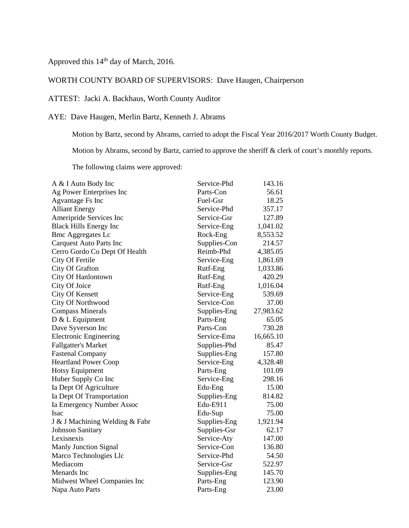# Approved this 14<sup>th</sup> day of March, 2016.

## WORTH COUNTY BOARD OF SUPERVISORS: Dave Haugen, Chairperson

### ATTEST: Jacki A. Backhaus, Worth County Auditor

## AYE: Dave Haugen, Merlin Bartz, Kenneth J. Abrams

Motion by Bartz, second by Abrams, carried to adopt the Fiscal Year 2016/2017 Worth County Budget.

Motion by Abrams, second by Bartz, carried to approve the sheriff & clerk of court's monthly reports.

The following claims were approved:

| A & I Auto Body Inc            | Service-Phd  | 143.16    |
|--------------------------------|--------------|-----------|
| Ag Power Enterprises Inc       | Parts-Con    | 56.61     |
| Agvantage Fs Inc               | Fuel-Gsr     | 18.25     |
| <b>Alliant Energy</b>          | Service-Phd  | 357.17    |
| Ameripride Services Inc        | Service-Gsr  | 127.89    |
| <b>Black Hills Energy Inc</b>  | Service-Eng  | 1,041.02  |
| <b>Bmc Aggregates Lc</b>       | Rock-Eng     | 8,553.52  |
| <b>Carquest Auto Parts Inc</b> | Supplies-Con | 214.57    |
| Cerro Gordo Co Dept Of Health  | Reimb-Phd    | 4,385.05  |
| City Of Fertile                | Service-Eng  | 1,861.69  |
| City Of Grafton                | Rutf-Eng     | 1,033.86  |
| City Of Hanlontown             | Rutf-Eng     | 420.29    |
| City Of Joice                  | Rutf-Eng     | 1,016.04  |
| City Of Kensett                | Service-Eng  | 539.69    |
| City Of Northwood              | Service-Con  | 37.00     |
| <b>Compass Minerals</b>        | Supplies-Eng | 27,983.62 |
| $D & L$ Equipment              | Parts-Eng    | 65.05     |
| Dave Syverson Inc              | Parts-Con    | 730.28    |
| <b>Electronic Engineering</b>  | Service-Ema  | 16,665.10 |
| <b>Fallgatter's Market</b>     | Supplies-Phd | 85.47     |
| <b>Fastenal Company</b>        | Supplies-Eng | 157.80    |
| <b>Heartland Power Coop</b>    | Service-Eng  | 4,328.48  |
| Hotsy Equipment                | Parts-Eng    | 101.09    |
| Huber Supply Co Inc            | Service-Eng  | 298.16    |
| Ia Dept Of Agriculture         | Edu-Eng      | 15.00     |
| Ia Dept Of Transportation      | Supplies-Eng | 814.82    |
| Ia Emergency Number Assoc      | Edu-E911     | 75.00     |
| <b>Isac</b>                    | Edu-Sup      | 75.00     |
| J & J Machining Welding & Fabr | Supplies-Eng | 1,921.94  |
| <b>Johnson Sanitary</b>        | Supplies-Gsr | 62.17     |
| Lexisnexis                     | Service-Aty  | 147.00    |
| Manly Junction Signal          | Service-Con  | 136.80    |
| Marco Technologies Llc         | Service-Phd  | 54.50     |
| Mediacom                       | Service-Gsr  | 522.97    |
| Menards Inc                    | Supplies-Eng | 145.70    |
| Midwest Wheel Companies Inc    | Parts-Eng    | 123.90    |
| Napa Auto Parts                | Parts-Eng    | 23.00     |